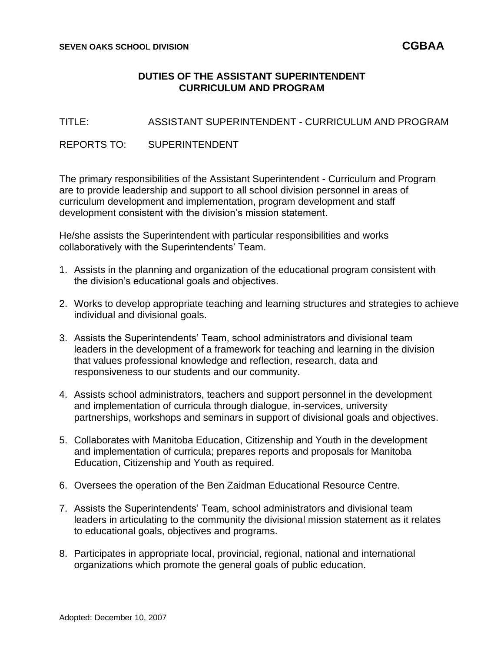## **DUTIES OF THE ASSISTANT SUPERINTENDENT CURRICULUM AND PROGRAM**

TITLE: ASSISTANT SUPERINTENDENT - CURRICULUM AND PROGRAM

REPORTS TO: SUPERINTENDENT

The primary responsibilities of the Assistant Superintendent - Curriculum and Program are to provide leadership and support to all school division personnel in areas of curriculum development and implementation, program development and staff development consistent with the division's mission statement.

He/she assists the Superintendent with particular responsibilities and works collaboratively with the Superintendents' Team.

- 1. Assists in the planning and organization of the educational program consistent with the division's educational goals and objectives.
- 2. Works to develop appropriate teaching and learning structures and strategies to achieve individual and divisional goals.
- 3. Assists the Superintendents' Team, school administrators and divisional team leaders in the development of a framework for teaching and learning in the division that values professional knowledge and reflection, research, data and responsiveness to our students and our community.
- 4. Assists school administrators, teachers and support personnel in the development and implementation of curricula through dialogue, in-services, university partnerships, workshops and seminars in support of divisional goals and objectives.
- 5. Collaborates with Manitoba Education, Citizenship and Youth in the development and implementation of curricula; prepares reports and proposals for Manitoba Education, Citizenship and Youth as required.
- 6. Oversees the operation of the Ben Zaidman Educational Resource Centre.
- 7. Assists the Superintendents' Team, school administrators and divisional team leaders in articulating to the community the divisional mission statement as it relates to educational goals, objectives and programs.
- 8. Participates in appropriate local, provincial, regional, national and international organizations which promote the general goals of public education.